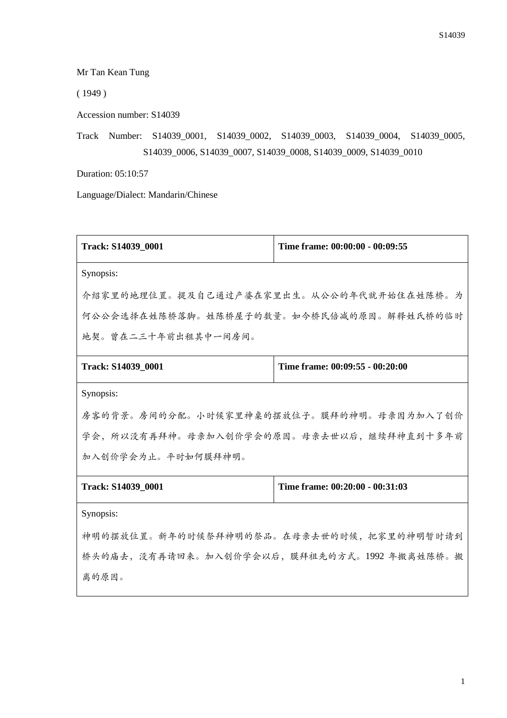Mr Tan Kean Tung

( 1949 )

Accession number: S14039

Track Number: S14039\_0001, S14039\_0002, S14039\_0003, S14039\_0004, S14039\_0005, S14039\_0006, S14039\_0007, S14039\_0008, S14039\_0009, S14039\_0010

Duration: 05:10:57

离的原因。

Language/Dialect: Mandarin/Chinese

| Track: S14039_0001                          | Time frame: 00:00:00 - 00:09:55 |  |
|---------------------------------------------|---------------------------------|--|
| Synopsis:                                   |                                 |  |
| 介绍家里的地理位置。提及自己通过产婆在家里出生。从公公的年代就开始住在姓陈桥。为    |                                 |  |
| 何公公会选择在姓陈桥落脚。姓陈桥屋子的数量。如今桥民倍减的原因。解释姓氏桥的临时    |                                 |  |
| 地契。曾在二三十年前出租其中一间房间。                         |                                 |  |
| Track: S14039_0001                          | Time frame: 00:09:55 - 00:20:00 |  |
| Synopsis:                                   |                                 |  |
| 房客的背景。房间的分配。小时候家里神桌的摆放位子。膜拜的神明。母亲因为加入了创价    |                                 |  |
| 学会,所以没有再拜神。母亲加入创价学会的原因。母亲去世以后,继续拜神直到十多年前    |                                 |  |
| 加入创价学会为止。平时如何膜拜神明。                          |                                 |  |
| Track: S14039_0001                          | Time frame: 00:20:00 - 00:31:03 |  |
| Synopsis:                                   |                                 |  |
| 神明的摆放位置。新年的时候祭拜神明的祭品。在母亲去世的时候, 把家里的神明暂时请到   |                                 |  |
| 桥头的庙去,没有再请回来。加入创价学会以后,膜拜祖先的方式。1992 年搬离姓陈桥。搬 |                                 |  |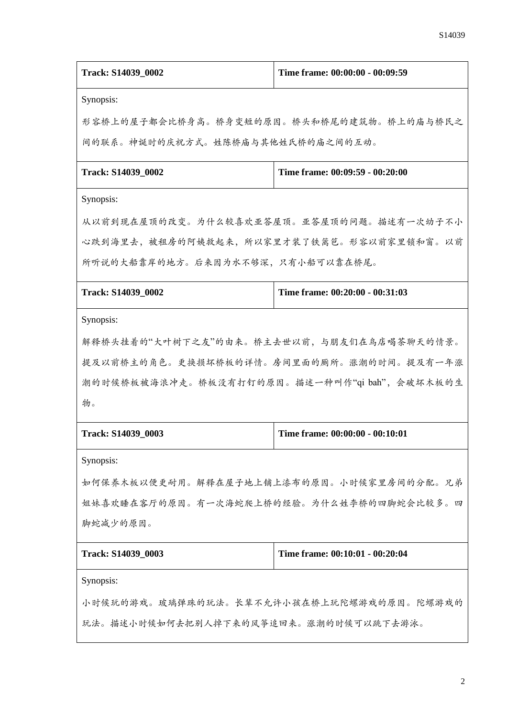| Track: S14039_0002                            | Time frame: 00:00:00 - 00:09:59          |  |
|-----------------------------------------------|------------------------------------------|--|
| Synopsis:                                     |                                          |  |
| 形容桥上的屋子都会比桥身高。桥身变短的原因。桥头和桥尾的建筑物。桥上的庙与桥民之      |                                          |  |
| 间的联系。神诞时的庆祝方式。姓陈桥庙与其他姓氏桥的庙之间的互动。              |                                          |  |
| Track: S14039_0002                            | Time frame: 00:09:59 - 00:20:00          |  |
| Synopsis:                                     |                                          |  |
| 从以前到现在屋顶的改变。为什么较喜欢亚答屋顶。亚答屋顶的问题。描述有一次幼子不小      |                                          |  |
| 心跌到海里去,被租房的阿姨救起来,所以家里才装了铁篱笆。形容以前家里锁和窗。以前      |                                          |  |
| 所听说的大船靠岸的地方。后来因为水不够深,只有小船可以靠在桥尾。              |                                          |  |
| Track: S14039_0002                            | Time frame: 00:20:00 - 00:31:03          |  |
| Synopsis:                                     |                                          |  |
| 解释桥头挂着的"大叶树下之友"的由来。桥主去世以前,与朋友们在鸟店喝茶聊天的情景。     |                                          |  |
|                                               | 提及以前桥主的角色。更换损坏桥板的详情。房间里面的厕所。涨潮的时间。提及有一年涨 |  |
| 潮的时候桥板被海浪冲走。桥板没有打钉的原因。描述一种叫作"qi bah", 会破坏木板的生 |                                          |  |
| 物。                                            |                                          |  |
| Track: S14039_0003                            | Time frame: 00:00:00 - 00:10:01          |  |
| Synopsis:                                     |                                          |  |
| 如何保养木板以便更耐用。解释在屋子地上铺上漆布的原因。小时候家里房间的分配。兄弟      |                                          |  |
| 姐妹喜欢睡在客厅的原因。有一次海蛇爬上桥的经验。为什么姓李桥的四脚蛇会比较多。四      |                                          |  |
| 脚蛇减少的原因。                                      |                                          |  |
| Track: S14039_0003                            | Time frame: 00:10:01 - 00:20:04          |  |
| Synopsis:                                     |                                          |  |
| 小时候玩的游戏。玻璃弹珠的玩法。长辈不允许小孩在桥上玩陀螺游戏的原因。陀螺游戏的      |                                          |  |
| 玩法。描述小时候如何去把别人掉下来的风筝追回来。涨潮的时候可以跳下去游泳。         |                                          |  |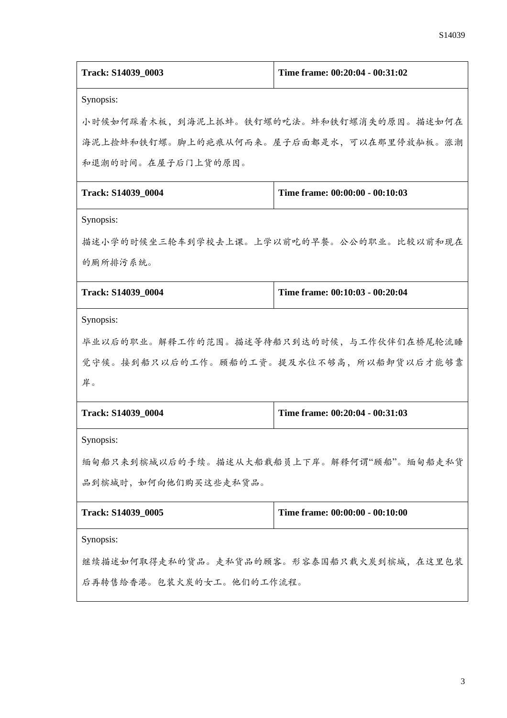| Track: S14039_0003                        | Time frame: 00:20:04 - 00:31:02 |  |
|-------------------------------------------|---------------------------------|--|
| Synopsis:                                 |                                 |  |
| 小时候如何踩着木板,到海泥上抓蚌。铁钉螺的吃法。蚌和铁钉螺消失的原因。描述如何在  |                                 |  |
| 海泥上捡蚌和铁钉螺。脚上的疤痕从何而来。屋子后面都是水,可以在那里停放舢板。涨潮  |                                 |  |
| 和退潮的时间。在屋子后门上货的原因。                        |                                 |  |
| Track: S14039_0004                        | Time frame: 00:00:00 - 00:10:03 |  |
| Synopsis:                                 |                                 |  |
| 描述小学的时候坐三轮车到学校去上课。上学以前吃的早餐。公公的职业。比较以前和现在  |                                 |  |
| 的厕所排污系统。                                  |                                 |  |
| Track: S14039_0004                        | Time frame: 00:10:03 - 00:20:04 |  |
| Synopsis:                                 |                                 |  |
| 毕业以后的职业。解释工作的范围。描述等待船只到达的时候,与工作伙伴们在桥尾轮流睡  |                                 |  |
| 觉守候。接到船只以后的工作。顾船的工资。提及水位不够高,所以船卸货以后才能够靠   |                                 |  |
| 岸。                                        |                                 |  |
| Track: S14039_0004                        | Time frame: 00:20:04 - 00:31:03 |  |
| Synopsis:                                 |                                 |  |
| 缅甸船只来到槟城以后的手续。描述从大船载船员上下岸。解释何谓"顾船"。缅甸船走私货 |                                 |  |
| 品到槟城时, 如何向他们购买这些走私货品。                     |                                 |  |
| Track: S14039_0005                        | Time frame: 00:00:00 - 00:10:00 |  |
| Synopsis:                                 |                                 |  |
| 继续描述如何取得走私的货品。走私货品的顾客。形容泰国船只载火炭到槟城,在这里包装  |                                 |  |
| 后再转售给香港。包装火炭的女工。他们的工作流程。                  |                                 |  |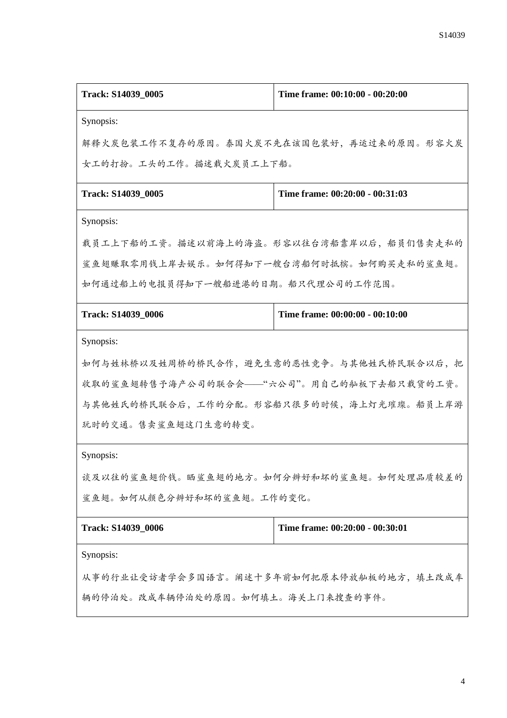| Track: S14039_0005                        | Time frame: 00:10:00 - 00:20:00 |  |
|-------------------------------------------|---------------------------------|--|
| Synopsis:                                 |                                 |  |
| 解释火炭包装工作不复存的原因。泰国火炭不先在该国包装好,再运过来的原因。形容火炭  |                                 |  |
| 女工的打扮。工头的工作。描述载火炭员工上下船。                   |                                 |  |
| Track: S14039_0005                        | Time frame: 00:20:00 - 00:31:03 |  |
| Synopsis:                                 |                                 |  |
| 载员工上下船的工资。描述以前海上的海盗。形容以往台湾船靠岸以后,船员们售卖走私的  |                                 |  |
| 鲨鱼翅赚取零用钱上岸去娱乐。如何得知下一艘台湾船何时抵槟。如何购买走私的鲨鱼翅。  |                                 |  |
| 如何通过船上的电报员得知下一艘船进港的日期。船只代理公司的工作范围。        |                                 |  |
| Track: S14039_0006                        | Time frame: 00:00:00 - 00:10:00 |  |
| Synopsis:                                 |                                 |  |
| 如何与姓林桥以及姓周桥的桥民合作,避免生意的恶性竞争。与其他姓氏桥民联合以后,把  |                                 |  |
| 收取的鲨鱼翅转售予海产公司的联合会——"六公司"。用自己的舢板下去船只载货的工资。 |                                 |  |
| 与其他姓氏的桥民联合后,工作的分配。形容船只很多的时候,海上灯光璀璨。船员上岸游  |                                 |  |
| 玩时的交通。售卖鲨鱼翅这门生意的转变。                       |                                 |  |
| Synopsis:                                 |                                 |  |
| 谈及以往的鲨鱼翅价钱。晒鲨鱼翅的地方。如何分辨好和坏的鲨鱼翅。如何处理品质较差的  |                                 |  |
| 鲨鱼翅。如何从颜色分辨好和坏的鲨鱼翅。工作的变化。                 |                                 |  |
| Track: S14039_0006                        | Time frame: 00:20:00 - 00:30:01 |  |
| Synopsis:                                 |                                 |  |
| 从事的行业让受访者学会多国语言。阐述十多年前如何把原本停放舢板的地方,填土改成车  |                                 |  |
| 辆的停泊处。改成车辆停泊处的原因。如何填土。海关上门来搜查的事件。         |                                 |  |
|                                           |                                 |  |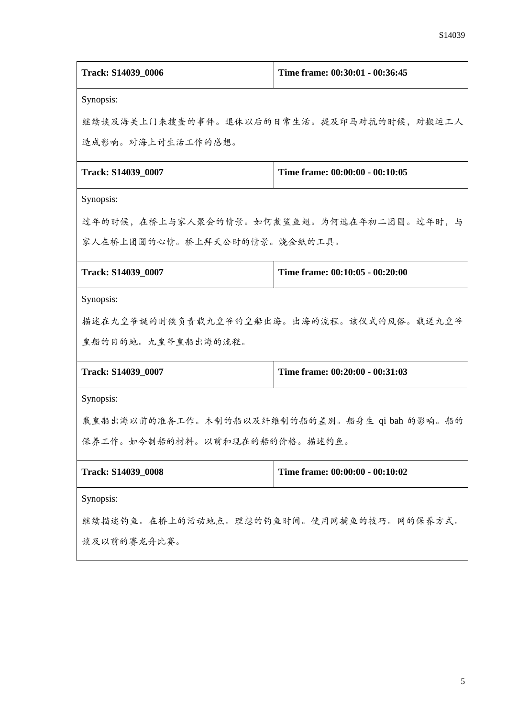| Track: S14039_0006                            | Time frame: 00:30:01 - 00:36:45 |  |  |
|-----------------------------------------------|---------------------------------|--|--|
| Synopsis:                                     |                                 |  |  |
| 继续谈及海关上门来搜查的事件。退休以后的日常生活。提及印马对抗的时候,对搬运工人      |                                 |  |  |
| 造成影响。对海上讨生活工作的感想。                             |                                 |  |  |
| Track: S14039_0007                            | Time frame: 00:00:00 - 00:10:05 |  |  |
| Synopsis:                                     |                                 |  |  |
| 过年的时候,在桥上与家人聚会的情景。如何煮鲨鱼翅。为何选在年初二团圆。过年时,与      |                                 |  |  |
| 家人在桥上团圆的心情。桥上拜天公时的情景。烧金纸的工具。                  |                                 |  |  |
| Track: S14039_0007                            | Time frame: 00:10:05 - 00:20:00 |  |  |
| Synopsis:                                     |                                 |  |  |
| 描述在九皇爷诞的时候负责载九皇爷的皇船出海。出海的流程。该仪式的风俗。载送九皇爷      |                                 |  |  |
| 皇船的目的地。九皇爷皇船出海的流程。                            |                                 |  |  |
| Track: S14039_0007                            | Time frame: 00:20:00 - 00:31:03 |  |  |
| Synopsis:                                     |                                 |  |  |
| 载皇船出海以前的准备工作。木制的船以及纤维制的船的差别。船身生 qi bah 的影响。船的 |                                 |  |  |
| 保养工作。如今制船的材料。以前和现在的船的价格。描述钓鱼。                 |                                 |  |  |
| Track: S14039_0008                            | Time frame: 00:00:00 - 00:10:02 |  |  |
| Synopsis:                                     |                                 |  |  |
| 继续描述钓鱼。在桥上的活动地点。理想的钓鱼时间。使用网捕鱼的技巧。网的保养方式。      |                                 |  |  |
| 谈及以前的赛龙舟比赛。                                   |                                 |  |  |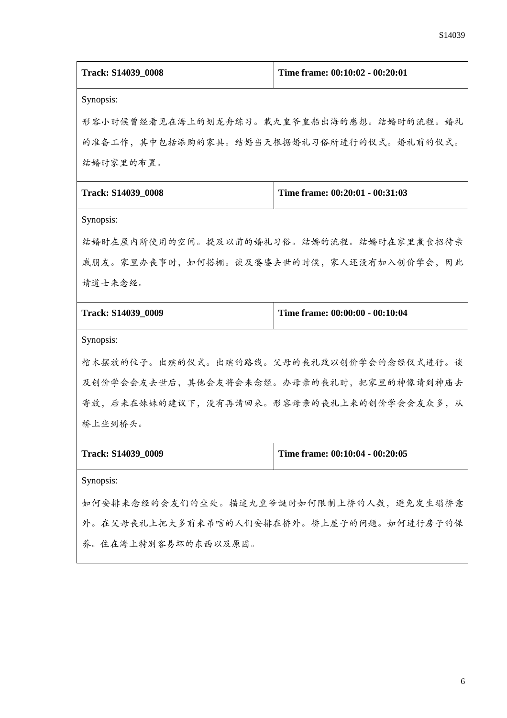| Track: S14039_0008                       | Time frame: 00:10:02 - 00:20:01 |  |
|------------------------------------------|---------------------------------|--|
| Synopsis:                                |                                 |  |
| 形容小时候曾经看见在海上的划龙舟练习。载九皇爷皇船出海的感想。结婚时的流程。婚礼 |                                 |  |
| 的准备工作,其中包括添购的家具。结婚当天根据婚礼习俗所进行的仪式。婚礼前的仪式。 |                                 |  |
| 结婚时家里的布置。                                |                                 |  |
| Track: S14039_0008                       | Time frame: 00:20:01 - 00:31:03 |  |
| Synopsis:                                |                                 |  |
| 结婚时在屋内所使用的空间。提及以前的婚礼习俗。结婚的流程。结婚时在家里煮食招待亲 |                                 |  |
| 戚朋友。家里办丧事时,如何搭棚。谈及婆婆去世的时候,家人还没有加入创价学会,因此 |                                 |  |
| 请道士来念经。                                  |                                 |  |
| Track: S14039_0009                       | Time frame: 00:00:00 - 00:10:04 |  |
| Synopsis:                                |                                 |  |
| 棺木摆放的位子。出殡的仪式。出殡的路线。父母的丧礼改以创价学会的念经仪式进行。谈 |                                 |  |
| 及创价学会会友去世后,其他会友将会来念经。办母亲的丧礼时,把家里的神像请到神庙去 |                                 |  |
| 寄放,后来在妹妹的建议下,没有再请回来。形容母亲的丧礼上来的创价学会会友众多,从 |                                 |  |
| 桥上坐到桥头。                                  |                                 |  |
| Track: S14039_0009                       | Time frame: 00:10:04 - 00:20:05 |  |
| Synopsis:                                |                                 |  |
| 如何安排来念经的会友们的坐处。描述九皇爷诞时如何限制上桥的人数,避免发生塌桥意  |                                 |  |
| 外。在父母丧礼上把大多前来吊唁的人们安排在桥外。桥上屋子的问题。如何进行房子的保 |                                 |  |
| 养。住在海上特别容易坏的东西以及原因。                      |                                 |  |
|                                          |                                 |  |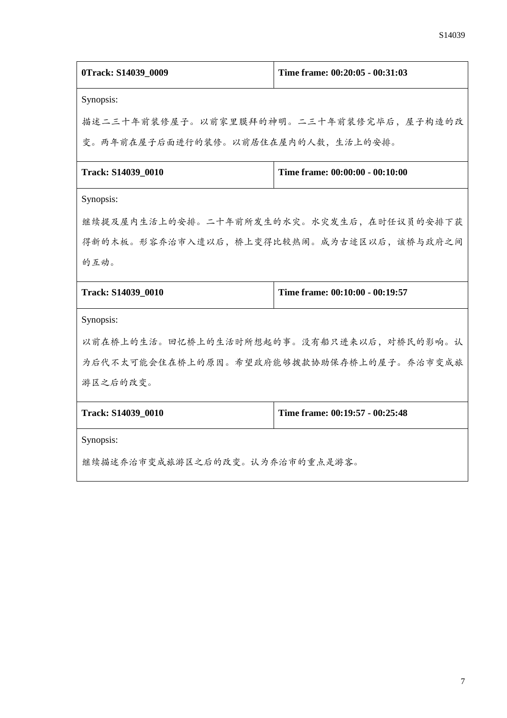| 0Track: S14039 0009                      | Time frame: 00:20:05 - 00:31:03 |  |
|------------------------------------------|---------------------------------|--|
| Synopsis:                                |                                 |  |
| 描述二三十年前装修屋子。以前家里膜拜的神明。二三十年前装修完毕后,屋子构造的改  |                                 |  |
| 变。两年前在屋子后面进行的装修。以前居住在屋内的人数,生活上的安排。       |                                 |  |
| Track: S14039 0010                       | Time frame: 00:00:00 - 00:10:00 |  |
| Synopsis:                                |                                 |  |
| 继续提及屋内生活上的安排。二十年前所发生的水灾。水灾发生后,在时任议员的安排下获 |                                 |  |
| 得新的木板。形容乔治市入遗以后,桥上变得比较热闹。成为古迹区以后,该桥与政府之间 |                                 |  |
| 的互动。                                     |                                 |  |
| Track: S14039_0010                       | Time frame: 00:10:00 - 00:19:57 |  |
| Synopsis:                                |                                 |  |
| 以前在桥上的生活。回忆桥上的生活时所想起的事。没有船只进来以后,对桥民的影响。认 |                                 |  |
| 为后代不太可能会住在桥上的原因。希望政府能够拨款协助保存桥上的屋子。乔治市变成旅 |                                 |  |
| 游区之后的改变。                                 |                                 |  |
| Track: S14039_0010                       | Time frame: 00:19:57 - 00:25:48 |  |
| Synopsis:                                |                                 |  |
| 继续描述乔治市变成旅游区之后的改变。认为乔治市的重点是游客。           |                                 |  |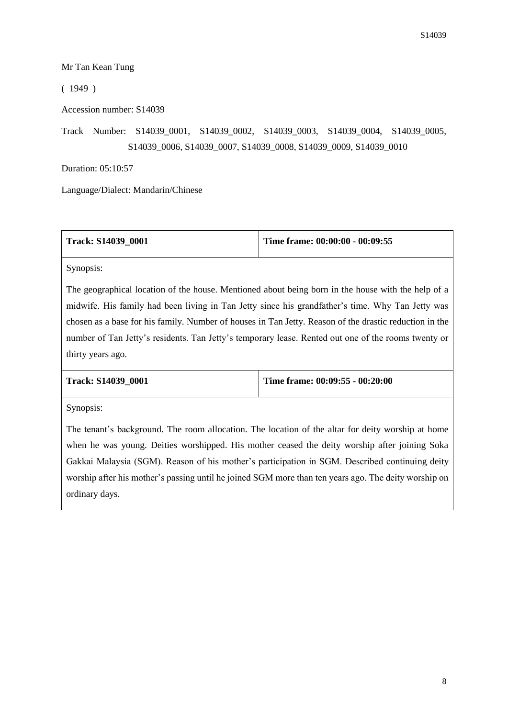## Mr Tan Kean Tung

( 1949 )

Accession number: S14039

Track Number: S14039\_0001, S14039\_0002, S14039\_0003, S14039\_0004, S14039\_0005, S14039\_0006, S14039\_0007, S14039\_0008, S14039\_0009, S14039\_0010

Duration: 05:10:57

Language/Dialect: Mandarin/Chinese

| <b>Track: S14039 0001</b> | Time frame: 00:00:00 - 00:09:55 |
|---------------------------|---------------------------------|
|---------------------------|---------------------------------|

Synopsis:

The geographical location of the house. Mentioned about being born in the house with the help of a midwife. His family had been living in Tan Jetty since his grandfather's time. Why Tan Jetty was chosen as a base for his family. Number of houses in Tan Jetty. Reason of the drastic reduction in the number of Tan Jetty's residents. Tan Jetty's temporary lease. Rented out one of the rooms twenty or thirty years ago.

| <b>Track: S14039 0001</b> | Time frame: $00:09:55 - 00:20:00$ |
|---------------------------|-----------------------------------|
|---------------------------|-----------------------------------|

Synopsis:

The tenant's background. The room allocation. The location of the altar for deity worship at home when he was young. Deities worshipped. His mother ceased the deity worship after joining Soka Gakkai Malaysia (SGM). Reason of his mother's participation in SGM. Described continuing deity worship after his mother's passing until he joined SGM more than ten years ago. The deity worship on ordinary days.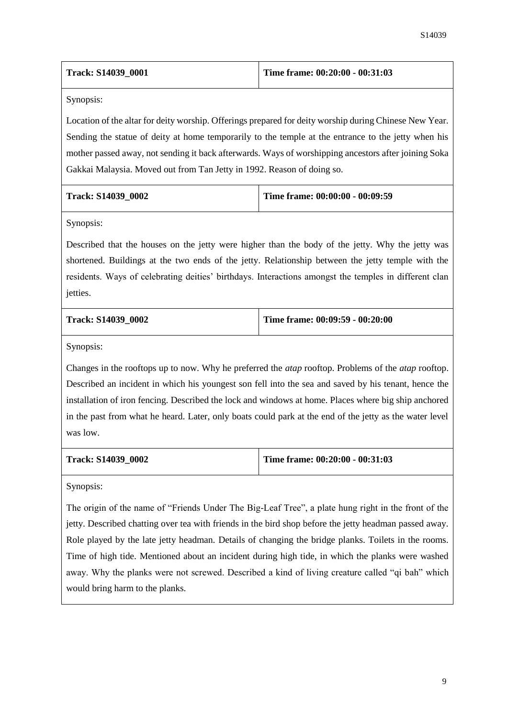| <b>Track: S14039 0001</b> | Time frame: 00:20:00 - 00:31:03 |
|---------------------------|---------------------------------|
|                           |                                 |

Location of the altar for deity worship. Offerings prepared for deity worship during Chinese New Year. Sending the statue of deity at home temporarily to the temple at the entrance to the jetty when his mother passed away, not sending it back afterwards. Ways of worshipping ancestors after joining Soka Gakkai Malaysia. Moved out from Tan Jetty in 1992. Reason of doing so.

| <b>Track: S14039 0002</b> | Time frame: $00:00:00 - 00:09:59$ |
|---------------------------|-----------------------------------|
|                           |                                   |

Synopsis:

Described that the houses on the jetty were higher than the body of the jetty. Why the jetty was shortened. Buildings at the two ends of the jetty. Relationship between the jetty temple with the residents. Ways of celebrating deities' birthdays. Interactions amongst the temples in different clan jetties.

| <b>Track: S14039 0002</b> | Time frame: 00:09:59 - 00:20:00 |
|---------------------------|---------------------------------|
|                           |                                 |

Synopsis:

Changes in the rooftops up to now. Why he preferred the *atap* rooftop. Problems of the *atap* rooftop. Described an incident in which his youngest son fell into the sea and saved by his tenant, hence the installation of iron fencing. Described the lock and windows at home. Places where big ship anchored in the past from what he heard. Later, only boats could park at the end of the jetty as the water level was low.

|  | Track: S14039 0002 |  |
|--|--------------------|--|
|--|--------------------|--|

**Track: S14039\_0002 Time frame: 00:20:00 - 00:31:03**

Synopsis:

The origin of the name of "Friends Under The Big-Leaf Tree", a plate hung right in the front of the jetty. Described chatting over tea with friends in the bird shop before the jetty headman passed away. Role played by the late jetty headman. Details of changing the bridge planks. Toilets in the rooms. Time of high tide. Mentioned about an incident during high tide, in which the planks were washed away. Why the planks were not screwed. Described a kind of living creature called "qi bah" which would bring harm to the planks.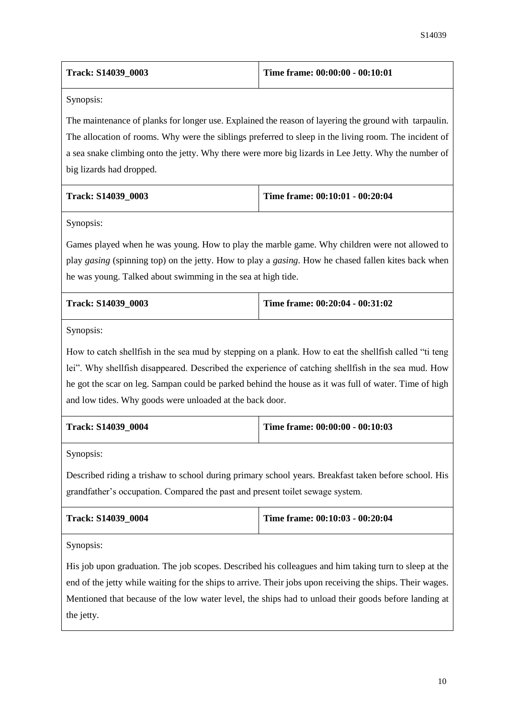| <b>Track: S14039 0003</b> | Time frame: 00:00:00 - 00:10:01 |
|---------------------------|---------------------------------|
|                           |                                 |

The maintenance of planks for longer use. Explained the reason of layering the ground with tarpaulin. The allocation of rooms. Why were the siblings preferred to sleep in the living room. The incident of a sea snake climbing onto the jetty. Why there were more big lizards in Lee Jetty. Why the number of big lizards had dropped.

| <b>Track: S14039 0003</b> | Time frame: $00:10:01 - 00:20:04$ |
|---------------------------|-----------------------------------|
|                           |                                   |

Synopsis:

Games played when he was young. How to play the marble game. Why children were not allowed to play *gasing* (spinning top) on the jetty. How to play a *gasing*. How he chased fallen kites back when he was young. Talked about swimming in the sea at high tide.

| <b>Track: S14039 0003</b> | Time frame: $00:20:04 - 00:31:02$ |
|---------------------------|-----------------------------------|
|                           |                                   |

Synopsis:

How to catch shellfish in the sea mud by stepping on a plank. How to eat the shellfish called "ti teng lei". Why shellfish disappeared. Described the experience of catching shellfish in the sea mud. How he got the scar on leg. Sampan could be parked behind the house as it was full of water. Time of high and low tides. Why goods were unloaded at the back door.

| <b>Track: S14039 0004</b> | Time frame: $00:00:00 - 00:10:03$ |
|---------------------------|-----------------------------------|
|                           |                                   |

Synopsis:

Described riding a trishaw to school during primary school years. Breakfast taken before school. His grandfather's occupation. Compared the past and present toilet sewage system.

| <b>Track: S14039 0004</b> | Time frame: $00:10:03 - 00:20:04$ |
|---------------------------|-----------------------------------|
|                           |                                   |

Synopsis:

His job upon graduation. The job scopes. Described his colleagues and him taking turn to sleep at the end of the jetty while waiting for the ships to arrive. Their jobs upon receiving the ships. Their wages. Mentioned that because of the low water level, the ships had to unload their goods before landing at the jetty.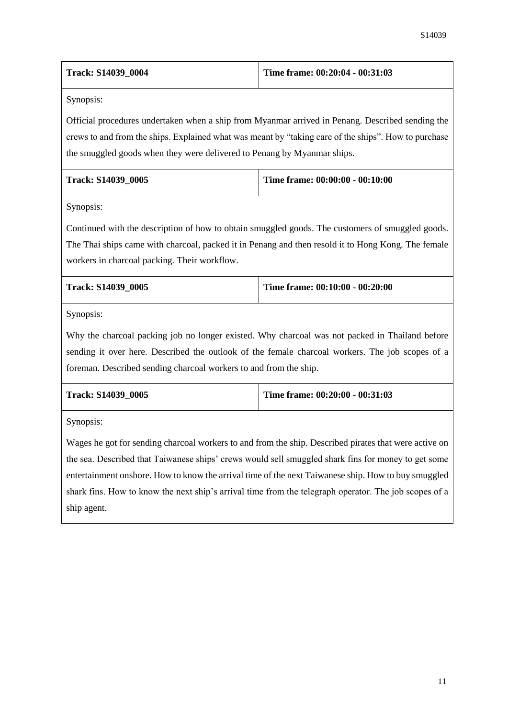| <b>Track: S14039 0004</b> | Time frame: $00:20:04 - 00:31:03$ |
|---------------------------|-----------------------------------|
|                           |                                   |

Official procedures undertaken when a ship from Myanmar arrived in Penang. Described sending the crews to and from the ships. Explained what was meant by "taking care of the ships". How to purchase the smuggled goods when they were delivered to Penang by Myanmar ships.

| <b>Track: S14039 0005</b> | Time frame: 00:00:00 - 00:10:00 |
|---------------------------|---------------------------------|
|                           |                                 |

Synopsis:

Continued with the description of how to obtain smuggled goods. The customers of smuggled goods. The Thai ships came with charcoal, packed it in Penang and then resold it to Hong Kong. The female workers in charcoal packing. Their workflow.

| <b>Track: S14039 0005</b> | Time frame: $00:10:00 - 00:20:00$ |
|---------------------------|-----------------------------------|
|                           |                                   |

Synopsis:

Why the charcoal packing job no longer existed. Why charcoal was not packed in Thailand before sending it over here. Described the outlook of the female charcoal workers. The job scopes of a foreman. Described sending charcoal workers to and from the ship.

| <b>Track: S14039 0005</b> | Time frame: $00:20:00 - 00:31:03$ |
|---------------------------|-----------------------------------|
|                           |                                   |

Synopsis:

Wages he got for sending charcoal workers to and from the ship. Described pirates that were active on the sea. Described that Taiwanese ships' crews would sell smuggled shark fins for money to get some entertainment onshore. How to know the arrival time of the next Taiwanese ship. How to buy smuggled shark fins. How to know the next ship's arrival time from the telegraph operator. The job scopes of a ship agent.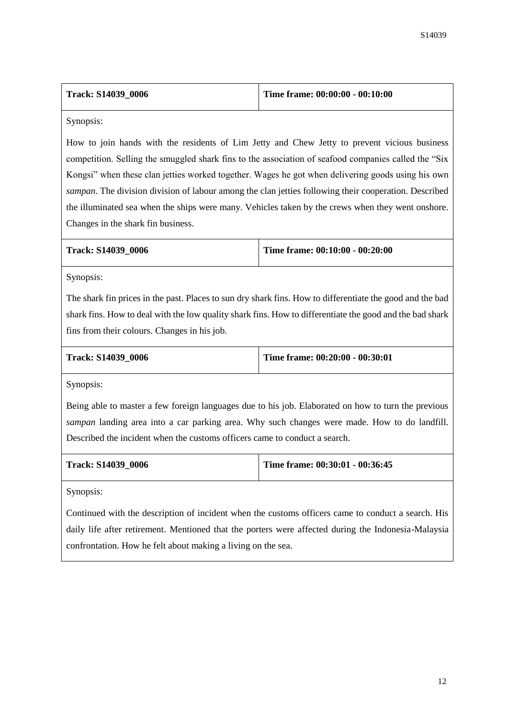| <b>Track: S14039 0006</b> | Time frame: $00:00:00 - 00:10:00$ |
|---------------------------|-----------------------------------|
|                           |                                   |

How to join hands with the residents of Lim Jetty and Chew Jetty to prevent vicious business competition. Selling the smuggled shark fins to the association of seafood companies called the "Six Kongsi" when these clan jetties worked together. Wages he got when delivering goods using his own *sampan*. The division division of labour among the clan jetties following their cooperation. Described the illuminated sea when the ships were many. Vehicles taken by the crews when they went onshore. Changes in the shark fin business.

|  | Track: S14039 0006 |  |
|--|--------------------|--|
|--|--------------------|--|

**Track: S14039\_0006 Time frame: 00:10:00 - 00:20:00**

Synopsis:

The shark fin prices in the past. Places to sun dry shark fins. How to differentiate the good and the bad shark fins. How to deal with the low quality shark fins. How to differentiate the good and the bad shark fins from their colours. Changes in his job.

| <b>Track: S14039 0006</b> | Time frame: 00:20:00 - 00:30:01 |
|---------------------------|---------------------------------|
|                           |                                 |

Synopsis:

Being able to master a few foreign languages due to his job. Elaborated on how to turn the previous *sampan* landing area into a car parking area. Why such changes were made. How to do landfill. Described the incident when the customs officers came to conduct a search.

| <b>Track: S14039 0006</b> | Time frame: $00:30:01 - 00:36:45$ |
|---------------------------|-----------------------------------|
|                           |                                   |

Synopsis:

Continued with the description of incident when the customs officers came to conduct a search. His daily life after retirement. Mentioned that the porters were affected during the Indonesia-Malaysia confrontation. How he felt about making a living on the sea.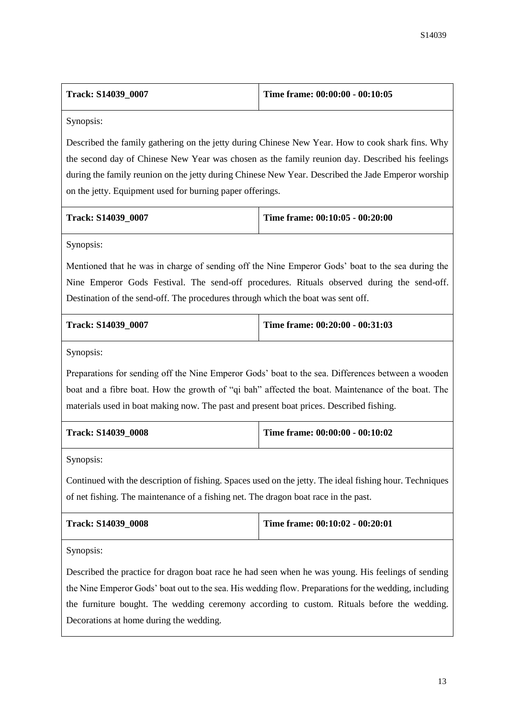| <b>Track: S14039 0007</b> | Time frame: $00:00:00 - 00:10:05$ |
|---------------------------|-----------------------------------|
|                           |                                   |

Described the family gathering on the jetty during Chinese New Year. How to cook shark fins. Why the second day of Chinese New Year was chosen as the family reunion day. Described his feelings during the family reunion on the jetty during Chinese New Year. Described the Jade Emperor worship on the jetty. Equipment used for burning paper offerings.

| <b>Track: S14039 0007</b> | Time frame: 00:10:05 - 00:20:00 |
|---------------------------|---------------------------------|
|                           |                                 |

Synopsis:

Mentioned that he was in charge of sending off the Nine Emperor Gods' boat to the sea during the Nine Emperor Gods Festival. The send-off procedures. Rituals observed during the send-off. Destination of the send-off. The procedures through which the boat was sent off.

| <b>Track: S14039 0007</b> | Time frame: $00:20:00 - 00:31:03$ |
|---------------------------|-----------------------------------|
|                           |                                   |

Synopsis:

Preparations for sending off the Nine Emperor Gods' boat to the sea. Differences between a wooden boat and a fibre boat. How the growth of "qi bah" affected the boat. Maintenance of the boat. The materials used in boat making now. The past and present boat prices. Described fishing.

| <b>Track: S14039 0008</b> | Time frame: $00:00:00 - 00:10:02$ |
|---------------------------|-----------------------------------|
|                           |                                   |

Synopsis:

Continued with the description of fishing. Spaces used on the jetty. The ideal fishing hour. Techniques of net fishing. The maintenance of a fishing net. The dragon boat race in the past.

| <b>Track: S14039 0008</b> | Time frame: 00:10:02 - 00:20:01 |
|---------------------------|---------------------------------|
|                           |                                 |

Synopsis:

Described the practice for dragon boat race he had seen when he was young. His feelings of sending the Nine Emperor Gods' boat out to the sea. His wedding flow. Preparations for the wedding, including the furniture bought. The wedding ceremony according to custom. Rituals before the wedding. Decorations at home during the wedding.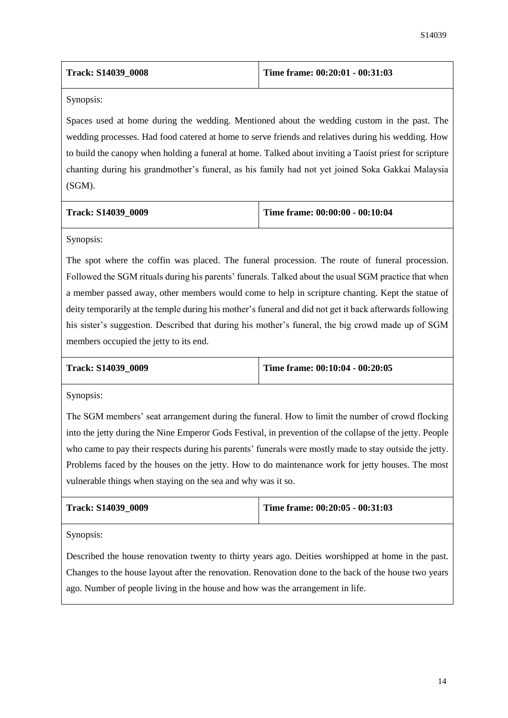| <b>Track: S14039 0008</b> | Time frame: $00:20:01 - 00:31:03$ |
|---------------------------|-----------------------------------|
|                           |                                   |

Spaces used at home during the wedding. Mentioned about the wedding custom in the past. The wedding processes. Had food catered at home to serve friends and relatives during his wedding. How to build the canopy when holding a funeral at home. Talked about inviting a Taoist priest for scripture chanting during his grandmother's funeral, as his family had not yet joined Soka Gakkai Malaysia (SGM).

| <b>Track: S14039 0009</b> | Time frame: $00:00:00 - 00:10:04$ |
|---------------------------|-----------------------------------|
|                           |                                   |

Synopsis:

The spot where the coffin was placed. The funeral procession. The route of funeral procession. Followed the SGM rituals during his parents' funerals. Talked about the usual SGM practice that when a member passed away, other members would come to help in scripture chanting. Kept the statue of deity temporarily at the temple during his mother's funeral and did not get it back afterwards following his sister's suggestion. Described that during his mother's funeral, the big crowd made up of SGM members occupied the jetty to its end.

**Track: S14039\_0009 Time frame: 00:10:04 - 00:20:05**

Synopsis:

The SGM members' seat arrangement during the funeral. How to limit the number of crowd flocking into the jetty during the Nine Emperor Gods Festival, in prevention of the collapse of the jetty. People who came to pay their respects during his parents' funerals were mostly made to stay outside the jetty. Problems faced by the houses on the jetty. How to do maintenance work for jetty houses. The most vulnerable things when staying on the sea and why was it so.

| <b>Track: S14039 0009</b> | Time frame: $00:20:05 - 00:31:03$ |
|---------------------------|-----------------------------------|
|                           |                                   |

Synopsis:

Described the house renovation twenty to thirty years ago. Deities worshipped at home in the past. Changes to the house layout after the renovation. Renovation done to the back of the house two years ago. Number of people living in the house and how was the arrangement in life.